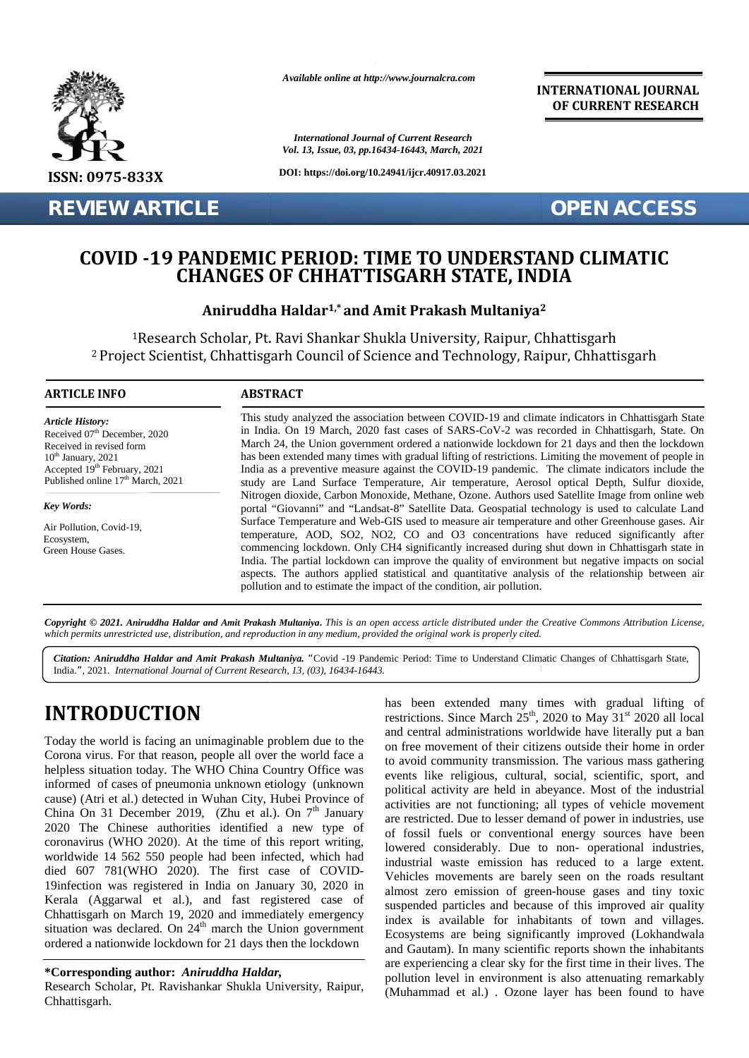

**REVIEW ARTICLE OPEN ACCESS** 

*Available online at http://www.journalcra.com*

*International Journal of Current Research Vol. 13, Issue, 03, pp.16434-16443, March, 2021*

**DOI: https://doi.org/10.24941/ijcr.40917.03.2021**

**INTERNATIONAL JOURNAL OF CURRENT RESEARCH**

## COVID -19 PANDEMIC PERIOD: TIME TO UNDERSTAND CLIMATIC<br>CHANGES OF CHHATTISGARH STATE, INDIA **CHANGES OF CHHATTISGARH STATE, INDIA**

### **Aniruddha Haldar1,\* and Amit Prakash Multaniya<sup>2</sup> 2**

<sup>1</sup>Research Scholar, Pt. Ravi Shankar Shukla University, Raipur, Chhattisgarh <sup>1</sup>Research Scholar, Pt. <sup>2</sup> Project Scientist, Chhattisgarh Council of Science and Technology, Raipur, Chhattisgarh

#### **ARTICLE INFO ABSTRACT ARTICLE ABSTRACT**

*Article History: ArticleHistory:*Received  $07<sup>th</sup>$  December, 2020 Received in revised form Received in revised form  $10^{\text{th}}$  January, 2021 Received in revised form<br>  $10^{\text{th}}$  January, 2021<br>
Accepted 19<sup>th</sup> February, 2021 **II** Published online  $17<sup>th</sup>$  March, 2021

*Key Words: Key Words:*

 $\text{E} = \text{E} = \text{E} = \text{E} = \text{E} = \text{E} = \text{E} = \text{E} = \text{E} = \text{E} = \text{E} = \text{E} = \text{E} = \text{E} = \text{E} = \text{E} = \text{E} = \text{E} = \text{E} = \text{E} = \text{E} = \text{E} = \text{E} = \text{E} = \text{E} = \text{E} = \text{E} = \text{E} = \text{E} = \text{E} = \text{E} = \text{E} = \text{E} = \text{E} = \text{E} = \text{E} = \text{E$ Air Pollution, Covid-19, Ecosystem,<br>Green House Gases. Ecosystem,

This study analyzed the association between COVID-19 and climate indicators in Chhattisgarh State<br>in India. On 19 March, 2020 fast cases of SARS-CoV-2 was recorded in Chhattisgarh, State. On<br>March 24, the Union government in India. On 19 March, 2020 fast cases of SARS-CoV-2 was recorded in Chhattisgarh, State. On March 24, the Union government ordered a nationwide lockdown for 21 days and then the lockdown has been extended many times with gradual lifting of restrictions. Limiting the movement of people in India as a preventive measure against the COVID-19 pandemic. The climate indicators include the study are Land Surface Temperature, Air temperature, Aerosol optical Depth, Sulfur dioxide, Nitrogen dioxide, Carbon Monoxide, Methane, Ozone. Authors used Satellite Image from online web portal "Giovanni" and "Landsat-8" Satellite Data. Geospatial technology is used to calculate Land Surface Temperature and Web-GIS used to measure air temperature and other Greenhouse gases. Air temperature, AOD, SO2, NO2, CO and O3 concentrations have reduced significantly after commencing lockdown. Only CH4 significantly increased during shut down in Chhattisgarh state in India. The partial lockdown can improve the quality of environment but negative impacts on social aspects. The authors applied statistical and quantitative analysis of the relationship between air pollution and to estimate the impact of the condition, air pollution. temperature, AOD, SO2, NO2, CO and O3 concentrations have reduced significantly aft commencing lockdown. Only CH4 significantly increased during shut down in Chhattisgarh state India. The partial lockdown can improve the q **EXECT SCHOLOGY, PURANT SHART SHUKIS UNIVERSITY, Raipur, Chhattisgarhtechnology (Scientist, Chhattisgarh Council of Science and Technology, Raipur, Chhattisgarhtechnology (Raipur, Chhattisgarhtechnology (Raipur, Chhattisg** 

Copyright © 2021. Aniruddha Haldar and Amit Prakash Multaniya. This is an open access article distributed under the Creative Commons Attribution License, which permits unrestricted use, distribution, and reproduction in any medium, provided the original work is properly cited.

n a India.*",* 2021*. International Journal of Current Research, 13, (03), 16434-16443. Citation: Aniruddha Haldar and Amit Prakash Multaniya. "*Covid -19 Pandemic Period: Time to Understand Climatic Changes of Chhattisgarh State,

# **INTRODUCTION INTRODUCTION**

Today the world is facing an unimaginable problem due to the Corona virus. For that reason, people all over the world face a Today the world is facing an unimaginable problem due to the<br>Corona virus. For that reason, people all over the world face a<br>helpless situation today. The WHO China Country Office was informed of cases of pneumonia unknown etiology (unknown cause) (Atri et al.) detected in Wuhan City, Hubei Province of informed of cases of pneumonia unknown etiology (unknown polit cause) (Atri et al.) detected in Wuhan City, Hubei Province of active China On 31 December 2019, (Zhu et al.). On  $7^{\text{th}}$  January 2020 The Chinese authorities identified a new type of 2020 The Chinese authorities identified a new type of coronavirus (WHO 2020). At the time of this report writing, worldwide 14 562 550 people had been infected, which had died 607 781(WHO 2020). The first case of COVID- 19infection was registered in India on January 30, 2020 in Kerala (Aggarwal et al.), and fast registered case of Chhattisgarh on March 19, 2020 and immediately emergency  $\frac{1}{\text{index}}$ situation was declared. On  $24<sup>th</sup>$  march the Union government ordered a nationwide lockdown for 21 days then the lockdown worldwide 14 562 550 people had been infected, which had<br>died 607 781(WHO 2020). The first case of COVID-<br>19infection was registered in India on January 30, 2020 in<br>Kerala (Aggarwal et al.), and fast registered case of<br>Ch

**\*Corresponding author:** *Aniruddha Haldar,* **\*Corresponding** 

Research Scholar, Pt. Ravishankar Shukla University, Raipur, Chhattisgarh.

has been extended many times with gradual lifting of restrictions. Since March  $25<sup>th</sup>$ , 2020 to May 31<sup>st</sup> 2020 all local and central administrations worldwide have literally put a ban on free movement of their citizens outside their home in order to avoid community transmission. The various mass gathering events like religious, cultural, social, scientific, sport, and political activity are held in abeyance. Most of the industrial activities are not functioning; all types of vehicle movement are restricted. Due to lesser demand of power in industries, use of fossil fuels or conventional energy sources have been lowered considerably. Due to non- operational industries, industrial waste emission has reduced to a large extent. Vehicles movements are barely seen on the roads resultant almost zero emission of green-house gases and tiny toxic suspended particles and because of this improved air quality index is available for inhabitants of town and villages. Ecosystems are being significantly improved (Lokhandwala and Gautam). In many scientific reports shown the inhabitants are experiencing a clear sky for the first time in their lives. The pollution level in environment is also attenuating remarkably (Muhammad et al.) . Ozone layer has been found to have **INTRODUCTION**<br>
has been extended many times wints worldwide have the vold in properties. Since March 25<sup>th</sup>, 2020 to May 31<sup>t</sup> 2020 all local<br>
Today the world is facing an unimaginable problem due to the and eratral admi For the state internation of the state of the State State State State State State State State State State State State State State State State State State State State State State State State State State State State State St Due to non- operational industries,<br>ion has reduced to a large extent.<br>The barely seen on the roads resultant<br>of green-house gases and tiny toxic<br>lecause of this improved air quality<br>inhabitants of town and villages.<br>signi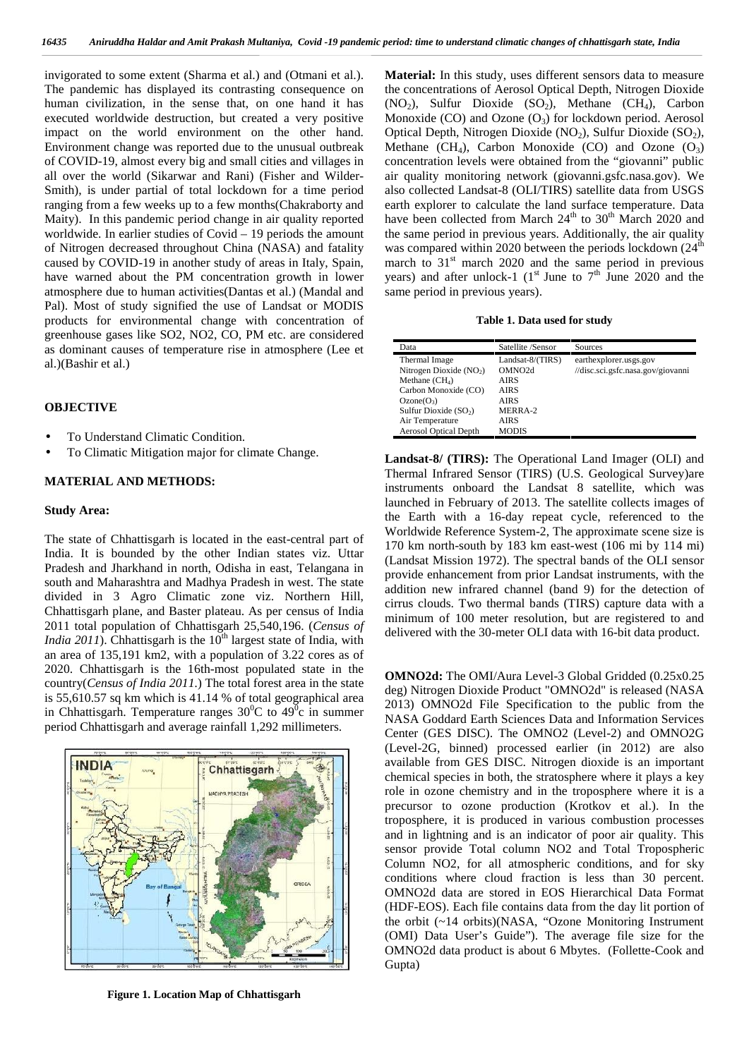invigorated to some extent (Sharma et al.) and (Otmani et al.). The pandemic has displayed its contrasting consequence on human civilization, in the sense that, on one hand it has executed worldwide destruction, but created a very positive impact on the world environment on the other hand. Environment change was reported due to the unusual outbreak of COVID-19, almost every big and small cities and villages in all over the world (Sikarwar and Rani) (Fisher and Wilder- Smith), is under partial of total lockdown for a time period ranging from a few weeks up to a few months(Chakraborty and Maity). In this pandemic period change in air quality reported worldwide. In earlier studies of Covid – 19 periods the amount of Nitrogen decreased throughout China (NASA) and fatality caused by COVID-19 in another study of areas in Italy, Spain, have warned about the PM concentration growth in lower atmosphere due to human activities(Dantas et al.) (Mandal and Pal). Most of study signified the use of Landsat or MODIS products for environmental change with concentration of greenhouse gases like SO2, NO2, CO, PM etc. are considered as dominant causes of temperature rise in atmosphere (Lee et al.)(Bashir et al.)

#### **OBJECTIVE**

- To Understand Climatic Condition.
- To Climatic Mitigation major for climate Change.

#### **MATERIAL AND METHODS:**

#### **Study Area:**

The state of Chhattisgarh is located in the east-central part of India. It is bounded by the other Indian states viz. Uttar Pradesh and Jharkhand in north, Odisha in east, Telangana in south and Maharashtra and Madhya Pradesh in west. The state divided in 3 Agro Climatic zone viz. Northern Hill, Chhattisgarh plane, and Baster plateau. As per census of India 2011 total population of Chhattisgarh 25,540,196. (*Census of India 2011*). Chhattisgarh is the  $10<sup>th</sup>$  largest state of India, with an area of 135,191 km2, with a population of 3.22 cores as of 2020. Chhattisgarh is the 16th-most populated state in the country(*Census of India 2011.*) The total forest area in the state is 55,610.57 sq km which is 41.14 % of total geographical area in Chhattisgarh. Temperature ranges  $30^{\circ}$ C to  $49^{\circ}$ c in summer period Chhattisgarh and average rainfall 1,292 millimeters.



**Figure 1. Location Map of Chhattisgarh**

**Material:** In this study, uses different sensors data to measure the concentrations of Aerosol Optical Depth, Nitrogen Dioxide  $(NO<sub>2</sub>)$ , Sulfur Dioxide  $(SO<sub>2</sub>)$ , Methane  $(CH<sub>4</sub>)$ , Carbon Monoxide  $(CO)$  and Ozone  $(O<sub>3</sub>)$  for lockdown period. Aerosol Optical Depth, Nitrogen Dioxide (NO<sub>2</sub>), Sulfur Dioxide (SO<sub>2</sub>), Methane  $(CH_4)$ , Carbon Monoxide (CO) and Ozone  $(O_3)$ concentration levels were obtained from the "giovanni" public air quality monitoring network (giovanni.gsfc.nasa.gov). We also collected Landsat-8 (OLI/TIRS) satellite data from USGS earth explorer to calculate the land surface temperature. Data have been collected from March 24<sup>th</sup> to 30<sup>th</sup> March 2020 and the same period in previous years. Additionally, the air quality was compared within 2020 between the periods lockdown  $(24<sup>th</sup>$ march to  $31<sup>st</sup>$  march 2020 and the same period in previous years) and after unlock-1 ( $1<sup>st</sup>$  June to  $7<sup>th</sup>$  June 2020 and the same period in previous years).

**Table 1. Data used for study**

| Data                         | Satellite /Sensor   | Sources                           |
|------------------------------|---------------------|-----------------------------------|
| Thermal Image                | Landsat- $8/(TIRS)$ | earthexplorer.usgs.gov            |
| Nitrogen Dioxide $(NO2)$     | OMNO <sub>2d</sub>  | //disc.sci.gsfc.nasa.gov/giovanni |
| Methane $(CH_4)$             | <b>AIRS</b>         |                                   |
| Carbon Monoxide (CO)         | <b>AIRS</b>         |                                   |
| $Ozone(O_3)$                 | AIRS                |                                   |
| Sulfur Dioxide $(SO2)$       | MERRA-2             |                                   |
| Air Temperature              | <b>AIRS</b>         |                                   |
| <b>Aerosol Optical Depth</b> | <b>MODIS</b>        |                                   |

**Landsat-8/ (TIRS):** The Operational Land Imager (OLI) and Thermal Infrared Sensor (TIRS) (U.S. Geological Survey)are instruments onboard the Landsat 8 satellite, which was launched in February of 2013. The satellite collects images of the Earth with a 16-day repeat cycle, referenced to the Worldwide Reference System-2, The approximate scene size is 170 km north-south by 183 km east-west (106 mi by 114 mi) (Landsat Mission 1972). The spectral bands of the OLI sensor provide enhancement from prior Landsat instruments, with the addition new infrared channel (band 9) for the detection of cirrus clouds. Two thermal bands (TIRS) capture data with a minimum of 100 meter resolution, but are registered to and delivered with the 30-meter OLI data with 16-bit data product.

**OMNO2d:** The OMI/Aura Level-3 Global Gridded (0.25x0.25 deg) Nitrogen Dioxide Product "OMNO2d" is released (NASA 2013) OMNO2d File Specification to the public from the NASA Goddard Earth Sciences Data and Information Services Center (GES DISC). The OMNO2 (Level-2) and OMNO2G (Level-2G, binned) processed earlier (in 2012) are also available from GES DISC. Nitrogen dioxide is an important chemical species in both, the stratosphere where it plays a key role in ozone chemistry and in the troposphere where it is a precursor to ozone production (Krotkov et al.). In the troposphere, it is produced in various combustion processes and in lightning and is an indicator of poor air quality. This sensor provide Total column NO2 and Total Tropospheric Column NO2, for all atmospheric conditions, and for sky conditions where cloud fraction is less than 30 percent. OMNO2d data are stored in EOS Hierarchical Data Format (HDF-EOS). Each file contains data from the day lit portion of the orbit (~14 orbits)(NASA, "Ozone Monitoring Instrument (OMI) Data User's Guide"). The average file size for the OMNO2d data product is about 6 Mbytes. (Follette-Cook and Gupta)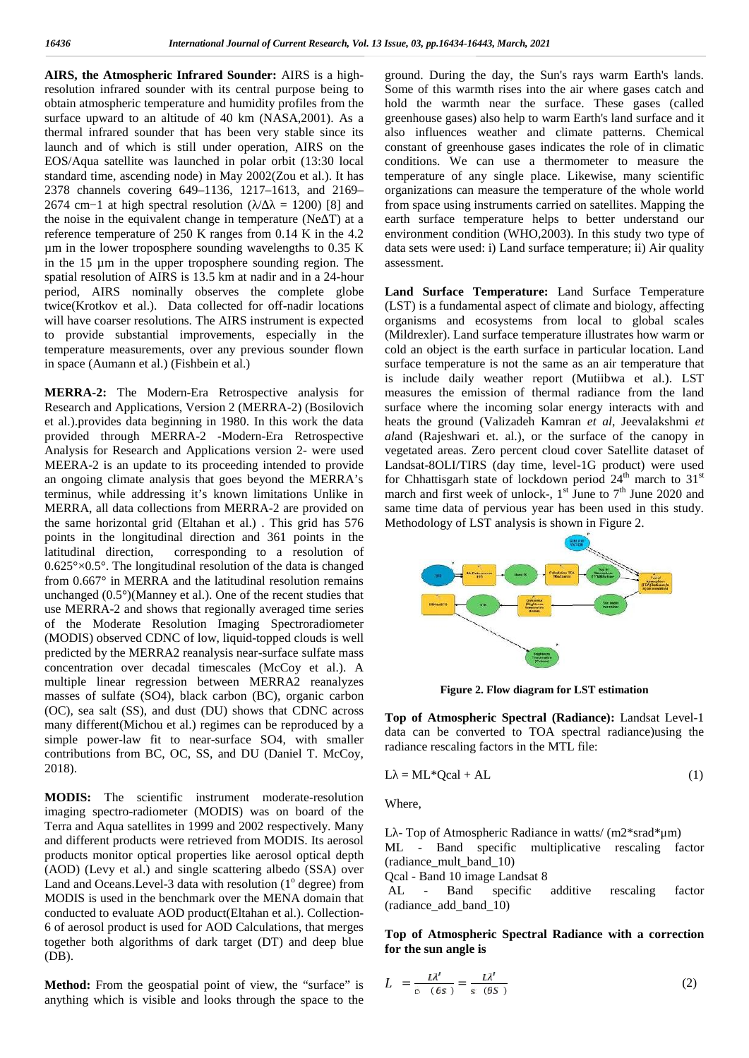**AIRS, the Atmospheric Infrared Sounder:** AIRS is a highresolution infrared sounder with its central purpose being to obtain atmospheric temperature and humidity profiles from the surface upward to an altitude of 40 km (NASA,2001). As a thermal infrared sounder that has been very stable since its launch and of which is still under operation, AIRS on the EOS/Aqua satellite was launched in polar orbit (13:30 local standard time, ascending node) in May 2002(Zou et al.). It has 2378 channels covering 649–1136, 1217–1613, and 2169– 2674 cm−1 at high spectral resolution ( $/$  = 1200) [8] and the noise in the equivalent change in temperature (Ne $\bar{T}$ ) at a reference temperature of 250 K ranges from 0.14 K in the 4.2 µm in the lower troposphere sounding wavelengths to 0.35 K in the 15 µm in the upper troposphere sounding region. The spatial resolution of AIRS is 13.5 km at nadir and in a 24-hour period, AIRS nominally observes the complete globe twice(Krotkov et al.). Data collected for off-nadir locations will have coarser resolutions. The AIRS instrument is expected to provide substantial improvements, especially in the temperature measurements, over any previous sounder flown in space (Aumann et al.) (Fishbein et al.)

**MERRA-2:** The Modern-Era Retrospective analysis for Research and Applications, Version 2 (MERRA-2) (Bosilovich et al.).provides data beginning in 1980. In this work the data provided through MERRA-2 -Modern-Era Retrospective Analysis for Research and Applications version 2- were used MEERA-2 is an update to its proceeding intended to provide an ongoing climate analysis that goes beyond the MERRA's terminus, while addressing it's known limitations Unlike in MERRA, all data collections from MERRA-2 are provided on the same horizontal grid (Eltahan et al.) . This grid has 576 points in the longitudinal direction and 361 points in the latitudinal direction, corresponding to a resolution of  $0.625^{\circ} \times 0.5^{\circ}$ . The longitudinal resolution of the data is changed from 0.667° in MERRA and the latitudinal resolution remains unchanged (0.5°)(Manney et al.). One of the recent studies that use MERRA-2 and shows that regionally averaged time series of the Moderate Resolution Imaging Spectroradiometer (MODIS) observed CDNC of low, liquid-topped clouds is well predicted by the MERRA2 reanalysis near-surface sulfate mass concentration over decadal timescales (McCoy et al.). A multiple linear regression between MERRA2 reanalyzes masses of sulfate (SO4), black carbon (BC), organic carbon (OC), sea salt (SS), and dust (DU) shows that CDNC across many different(Michou et al.) regimes can be reproduced by a simple power-law fit to near-surface SO4, with smaller contributions from BC, OC, SS, and DU (Daniel T. McCoy, 2018).

**MODIS:** The scientific instrument moderate-resolution imaging spectro-radiometer (MODIS) was on board of the Terra and Aqua satellites in 1999 and 2002 respectively. Many and different products were retrieved from MODIS. Its aerosol products monitor optical properties like aerosol optical depth (AOD) (Levy et al.) and single scattering albedo (SSA) over Land and Oceans. Level-3 data with resolution  $(1^{\circ}$  degree) from MODIS is used in the benchmark over the MENA domain that conducted to evaluate AOD product(Eltahan et al.). Collection- 6 of aerosol product is used for AOD Calculations, that merges together both algorithms of dark target (DT) and deep blue (DB).

**Method:** From the geospatial point of view, the "surface" is anything which is visible and looks through the space to the

ground. During the day, the Sun's rays warm Earth's lands. Some of this warmth rises into the air where gases catch and hold the warmth near the surface. These gases (called greenhouse gases) also help to warm Earth's land surface and it also influences weather and climate patterns. Chemical constant of greenhouse gases indicates the role of in climatic conditions. We can use a thermometer to measure the temperature of any single place. Likewise, many scientific organizations can measure the temperature of the whole world from space using instruments carried on satellites. Mapping the earth surface temperature helps to better understand our environment condition (WHO,2003). In this study two type of data sets were used: i) Land surface temperature; ii) Air quality assessment.

**Land Surface Temperature:** Land Surface Temperature (LST) is a fundamental aspect of climate and biology, affecting organisms and ecosystems from local to global scales (Mildrexler). Land surface temperature illustrates how warm or cold an object is the earth surface in particular location. Land surface temperature is not the same as an air temperature that is include daily weather report (Mutiibwa et al.). LST measures the emission of thermal radiance from the land surface where the incoming solar energy interacts with and heats the ground (Valizadeh Kamran *et al*, Jeevalakshmi *et al*and (Rajeshwari et. al.), or the surface of the canopy in vegetated areas. Zero percent cloud cover Satellite dataset of Landsat-8OLI/TIRS (day time, level-1G product) were used for Chhattisgarh state of lockdown period  $24<sup>th</sup>$  march to  $31<sup>st</sup>$ march and first week of unlock-,  $1<sup>st</sup>$  June to  $7<sup>th</sup>$  June 2020 and same time data of pervious year has been used in this study. Methodology of LST analysis is shown in Figure 2.



**Figure 2. Flow diagram for LST estimation**

**Top of Atmospheric Spectral (Radiance):** Landsat Level-1 data can be converted to TOA spectral radiance)using the radiance rescaling factors in the MTL file:

$$
L = ML^*Qcal + AL \tag{1}
$$

Where,

L - Top of Atmospheric Radiance in watts/ (m2\*srad\*μm) ML - Band specific multiplicative rescaling factor (radiance\_mult\_band\_10)

Qcal - Band 10 image Landsat 8

AL - Band specific additive rescaling factor (radiance\_add\_band\_10)

#### **Top of Atmospheric Spectral Radiance with a correction for the sun angle is**

$$
L = \frac{L\lambda'}{c - (\theta s)} = \frac{L\lambda'}{s - (\theta s)}
$$
 (2)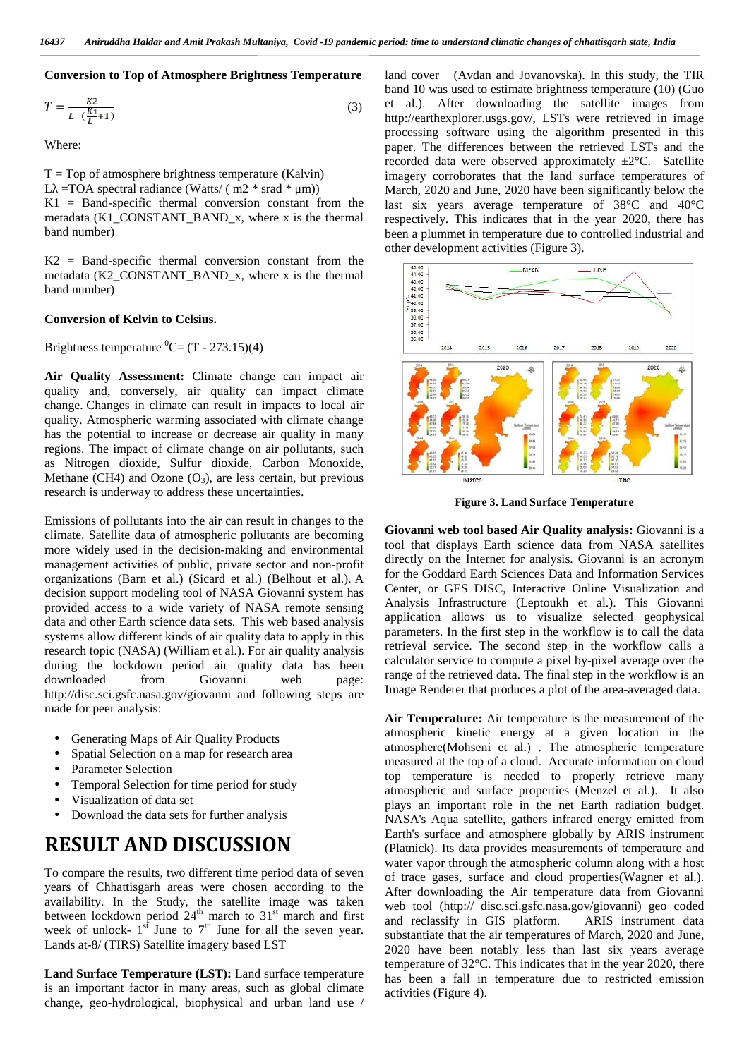#### **Conversion to Top of Atmosphere Brightness Temperature**

$$
T = \frac{kz}{L\left(\frac{K1}{L} + 1\right)}\tag{3}
$$

Where:

 $T = Top$  of atmosphere brightness temperature (Kalvin) L =TOA spectral radiance (Watts/ ( $m2$  \* srad \*  $\mu$ m))  $K1 = Band-specific$  thermal conversion constant from the metadata (K1\_CONSTANT\_BAND\_x, where x is the thermal band number)

 $K2 = Band-specific$  thermal conversion constant from the metadata (K2\_CONSTANT\_BAND\_x, where x is the thermal band number)

#### **Conversion of Kelvin to Celsius.**

Brightness temperature  ${}^{0}C = (T - 273.15)(4)$ 

**Air Quality Assessment:** Climate change can impact air quality and, conversely, air quality can impact climate change. Changes in climate can result in impacts to local air quality. Atmospheric warming associated with climate change has the potential to increase or decrease air quality in many regions. The impact of climate change on air pollutants, such as Nitrogen dioxide, Sulfur dioxide, Carbon Monoxide, Methane (CH4) and Ozone  $(O_3)$ , are less certain, but previous research is underway to address these uncertainties.

Emissions of pollutants into the air can result in changes to the climate. Satellite data of atmospheric pollutants are becoming more widely used in the decision-making and environmental management activities of public, private sector and non-profit organizations (Barn et al.) (Sicard et al.) (Belhout et al.). A decision support modeling tool of NASA Giovanni system has provided access to a wide variety of NASA remote sensing data and other Earth science data sets. This web based analysis systems allow different kinds of air quality data to apply in this research topic (NASA) (William et al.). For air quality analysis during the lockdown period air quality data has been downloaded from Giovanni web page: http://disc.sci.gsfc.nasa.gov/giovanni and following steps are made for peer analysis:

- Generating Maps of Air Quality Products
- Spatial Selection on a map for research area
- Parameter Selection
- Temporal Selection for time period for study
- Visualization of data set
- Download the data sets for further analysis

# **RESULT AND DISCUSSION**

To compare the results, two different time period data of seven years of Chhattisgarh areas were chosen according to the availability. In the Study, the satellite image was taken between lockdown period  $24<sup>th</sup>$  march to  $31<sup>st</sup>$  march and first  $\frac{1}{8}$ week of unlock-  $1<sup>st</sup>$  June to  $7<sup>th</sup>$  June for all the seven year. Lands at-8/ (TIRS) Satellite imagery based LST

**Land Surface Temperature (LST):** Land surface temperature is an important factor in many areas, such as global climate change, geo-hydrological, biophysical and urban land use / land cover (Avdan and Jovanovska). In this study, the TIR band 10 was used to estimate brightness temperature (10) (Guo et al.). After downloading the satellite images from http://earthexplorer.usgs.gov/, LSTs were retrieved in image processing software using the algorithm presented in this paper. The differences between the retrieved LSTs and the recorded data were observed approximately ±2°C. Satellite imagery corroborates that the land surface temperatures of March, 2020 and June, 2020 have been significantly below the last six years average temperature of 38°C and 40°C respectively. This indicates that in the year 2020, there has been a plummet in temperature due to controlled industrial and other development activities (Figure 3).



**Figure 3. Land Surface Temperature**

**Giovanni web tool based Air Quality analysis:** Giovanni is a tool that displays Earth science data from NASA satellites directly on the Internet for analysis. Giovanni is an acronym for the Goddard Earth Sciences Data and Information Services Center, or GES DISC, Interactive Online Visualization and Analysis Infrastructure (Leptoukh et al.). This Giovanni application allows us to visualize selected geophysical parameters. In the first step in the workflow is to call the data retrieval service. The second step in the workflow calls a calculator service to compute a pixel by-pixel average over the range of the retrieved data. The final step in the workflow is an Image Renderer that produces a plot of the area-averaged data.

**Air Temperature:** Air temperature is the measurement of the atmospheric kinetic energy at a given location in the atmosphere(Mohseni et al.) . The atmospheric temperature measured at the top of a cloud. Accurate information on cloud top temperature is needed to properly retrieve many atmospheric and surface properties (Menzel et al.). It also plays an important role in the net Earth radiation budget. NASA's Aqua satellite, gathers infrared energy emitted from Earth's surface and atmosphere globally by ARIS instrument (Platnick). Its data provides measurements of temperature and water vapor through the atmospheric column along with a host of trace gases, surface and cloud properties(Wagner et al.). After downloading the Air temperature data from Giovanni web tool (http:// disc.sci.gsfc.nasa.gov/giovanni) geo coded and reclassify in GIS platform. ARIS instrument data substantiate that the air temperatures of March, 2020 and June, 2020 have been notably less than last six years average temperature of 32°C. This indicates that in the year 2020, there has been a fall in temperature due to restricted emission activities (Figure 4).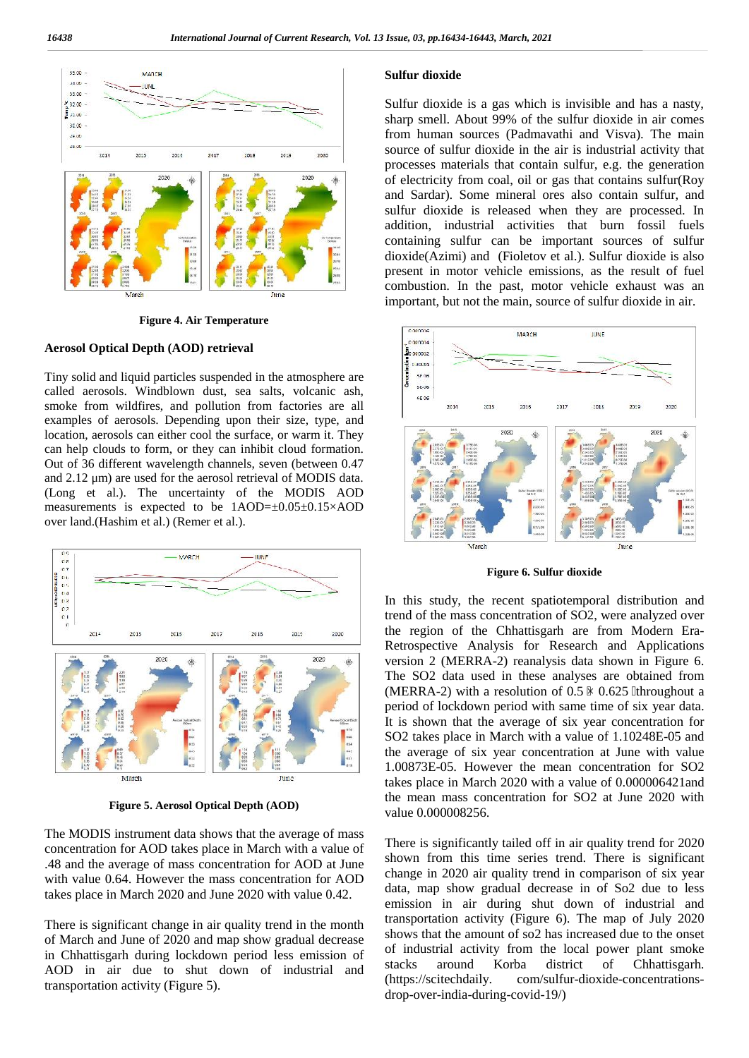

**Figure 4. Air Temperature**

#### **Aerosol Optical Depth (AOD) retrieval**

Tiny solid and liquid particles suspended in the atmosphere are called aerosols. Windblown dust, sea salts, volcanic ash, smoke from wildfires, and pollution from factories are all examples of aerosols. Depending upon their size, type, and location, aerosols can either cool the surface, or warm it. They can help clouds to form, or they can inhibit cloud formation. Out of 36 different wavelength channels, seven (between 0.47 and 2.12 μm) are used for the aerosol retrieval of MODIS data. (Long et al.). The uncertainty of the MODIS AOD measurements is expected to be  $1AOD=\pm 0.05\pm 0.15\times AOD$ over land.(Hashim et al.) (Remer et al.).



**Figure 5. Aerosol Optical Depth (AOD)**

The MODIS instrument data shows that the average of mass concentration for AOD takes place in March with a value of .48 and the average of mass concentration for AOD at June with value 0.64. However the mass concentration for AOD takes place in March 2020 and June 2020 with value 0.42.

There is significant change in air quality trend in the month of March and June of 2020 and map show gradual decrease in Chhattisgarh during lockdown period less emission of <sup>or ind</sup> AOD in air due to shut down of industrial and  $\frac{\text{stack}}{\text{stack}}$  around transportation activity (Figure 5).

#### **Sulfur dioxide**

Sulfur dioxide is a gas which is invisible and has a nasty, sharp smell. About 99% of the sulfur dioxide in air comes from human sources (Padmavathi and Visva). The main source of sulfur dioxide in the air is industrial activity that processes materials that contain sulfur, e.g. the generation of electricity from coal, oil or gas that contains sulfur(Roy and Sardar). Some mineral ores also contain sulfur, and sulfur dioxide is released when they are processed. In addition, industrial activities that burn fossil fuels containing sulfur can be important sources of sulfur dioxide(Azimi) and (Fioletov et al.). Sulfur dioxide is also present in motor vehicle emissions, as the result of fuel combustion. In the past, motor vehicle exhaust was an important, but not the main, source of sulfur dioxide in air.



**Figure 6. Sulfur dioxide**

In this study, the recent spatiotemporal distribution and trend of the mass concentration of SO2, were analyzed over the region of the Chhattisgarh are from Modern Era- Retrospective Analysis for Research and Applications version 2 (MERRA-2) reanalysis data shown in Figure 6. The SO2 data used in these analyses are obtained from (MERRA-2) with a resolution of  $0.5 \times 0.625$  throughout a period of lockdown period with same time of six year data. It is shown that the average of six year concentration for SO2 takes place in March with a value of 1.10248E-05 and the average of six year concentration at June with value 1.00873E-05. However the mean concentration for SO2 takes place in March 2020 with a value of 0.000006421and the mean mass concentration for SO2 at June 2020 with value 0.000008256.

There is significantly tailed off in air quality trend for 2020 shown from this time series trend. There is significant change in 2020 air quality trend in comparison of six year data, map show gradual decrease in of So2 due to less emission in air during shut down of industrial and transportation activity (Figure 6). The map of July 2020 shows that the amount of so2 has increased due to the onset of industrial activity from the local power plant smoke<br>stacks around Korba district of Chhattisgarh. around Korba district of Chhattisgarh. com/sulfur-dioxide-concentrationsdrop-over-india-during-covid-19/)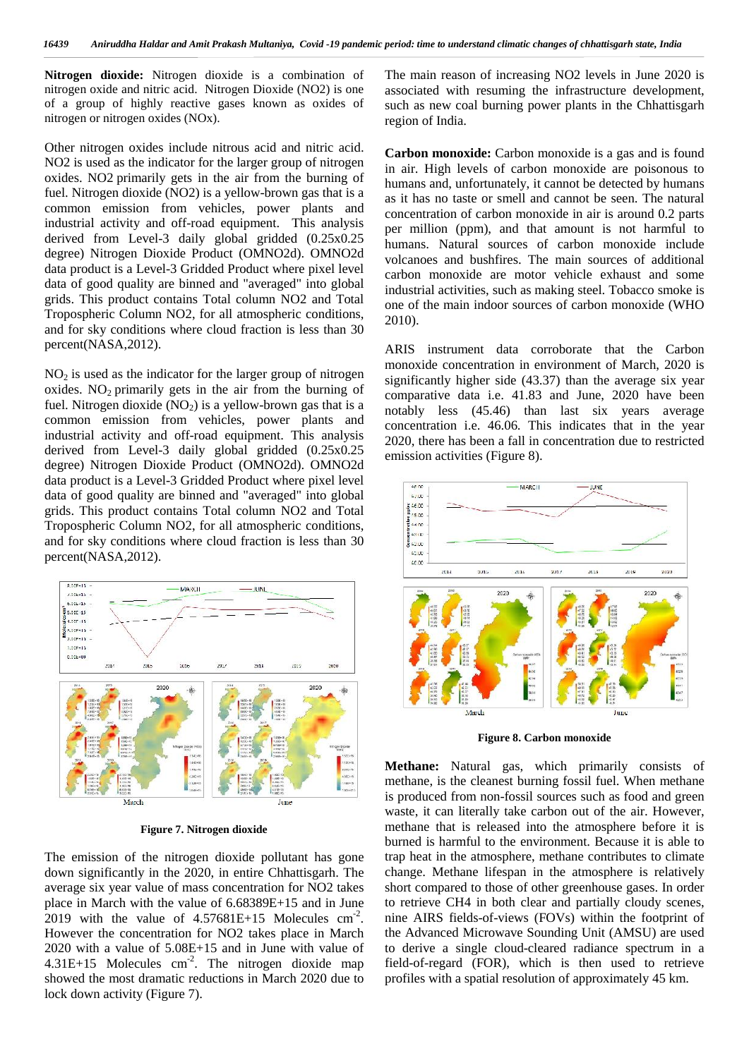**Nitrogen dioxide:** Nitrogen dioxide is a combination of nitrogen oxide and nitric acid. Nitrogen Dioxide (NO2) is one of a group of highly reactive gases known as oxides of nitrogen or nitrogen oxides (NOx).

Other nitrogen oxides include nitrous acid and nitric acid. NO2 is used as the indicator for the larger group of nitrogen oxides. NO2 primarily gets in the air from the burning of fuel. Nitrogen dioxide (NO2) is a yellow-brown gas that is a common emission from vehicles, power plants and industrial activity and off-road equipment. This analysis derived from Level-3 daily global gridded (0.25x0.25 degree) Nitrogen Dioxide Product (OMNO2d). OMNO2d data product is a Level-3 Gridded Product where pixel level data of good quality are binned and "averaged" into global grids. This product contains Total column NO2 and Total Tropospheric Column NO2, for all atmospheric conditions, and for sky conditions where cloud fraction is less than 30 percent(NASA,2012).

 $NO<sub>2</sub>$  is used as the indicator for the larger group of nitrogen oxides.  $NO<sub>2</sub>$  primarily gets in the air from the burning of fuel. Nitrogen dioxide  $(NO<sub>2</sub>)$  is a yellow-brown gas that is a common emission from vehicles, power plants and industrial activity and off-road equipment. This analysis derived from Level-3 daily global gridded (0.25x0.25 degree) Nitrogen Dioxide Product (OMNO2d). OMNO2d data product is a Level-3 Gridded Product where pixel level data of good quality are binned and "averaged" into global grids. This product contains Total column NO2 and Total Tropospheric Column NO2, for all atmospheric conditions, Tropospheric Column NO2, for all almospheric conditions,<br>and for sky conditions where cloud fraction is less than 30 percent(NASA,2012).



**Figure 7. Nitrogen dioxide**

The emission of the nitrogen dioxide pollutant has gone down significantly in the 2020, in entire Chhattisgarh. The average six year value of mass concentration for NO2 takes place in March with the value of 6.68389E+15 and in June 2019 with the value of  $4.57681E+15$  Molecules cm<sup>-2</sup>. n However the concentration for NO2 takes place in March 2020 with a value of 5.08E+15 and in June with value of  $4.31E+15$  Molecules cm<sup>-2</sup>. The nitrogen dioxide map fieldshowed the most dramatic reductions in March 2020 due to lock down activity (Figure 7).

The main reason of increasing NO2 levels in June 2020 is associated with resuming the infrastructure development, such as new coal burning power plants in the Chhattisgarh region of India.

**Carbon monoxide:** Carbon monoxide is a gas and is found in air. High levels of carbon monoxide are poisonous to humans and, unfortunately, it cannot be detected by humans as it has no taste or smell and cannot be seen. The natural concentration of carbon monoxide in air is around 0.2 parts per million (ppm), and that amount is not harmful to humans. Natural sources of carbon monoxide include volcanoes and bushfires. The main sources of additional carbon monoxide are motor vehicle exhaust and some industrial activities, such as making steel. Tobacco smoke is one of the main indoor sources of carbon monoxide (WHO 2010).

ARIS instrument data corroborate that the Carbon monoxide concentration in environment of March, 2020 is significantly higher side (43.37) than the average six year comparative data i.e. 41.83 and June, 2020 have been notably less (45.46) than last six years average concentration i.e. 46.06. This indicates that in the year 2020, there has been a fall in concentration due to restricted emission activities (Figure 8).



**Figure 8. Carbon monoxide**

**Methane:** Natural gas, which primarily consists of methane, is the cleanest burning fossil fuel. When methane is produced from non-fossil sources such as food and green waste, it can literally take carbon out of the air. However, methane that is released into the atmosphere before it is burned is harmful to the environment. Because it is able to trap heat in the atmosphere, methane contributes to climate change. Methane lifespan in the atmosphere is relatively short compared to those of other greenhouse gases. In order to retrieve CH4 in both clear and partially cloudy scenes, nine AIRS fields-of-views (FOVs) within the footprint of the Advanced Microwave Sounding Unit (AMSU) are used to derive a single cloud-cleared radiance spectrum in a field-of-regard (FOR), which is then used to retrieve profiles with a spatial resolution of approximately 45 km.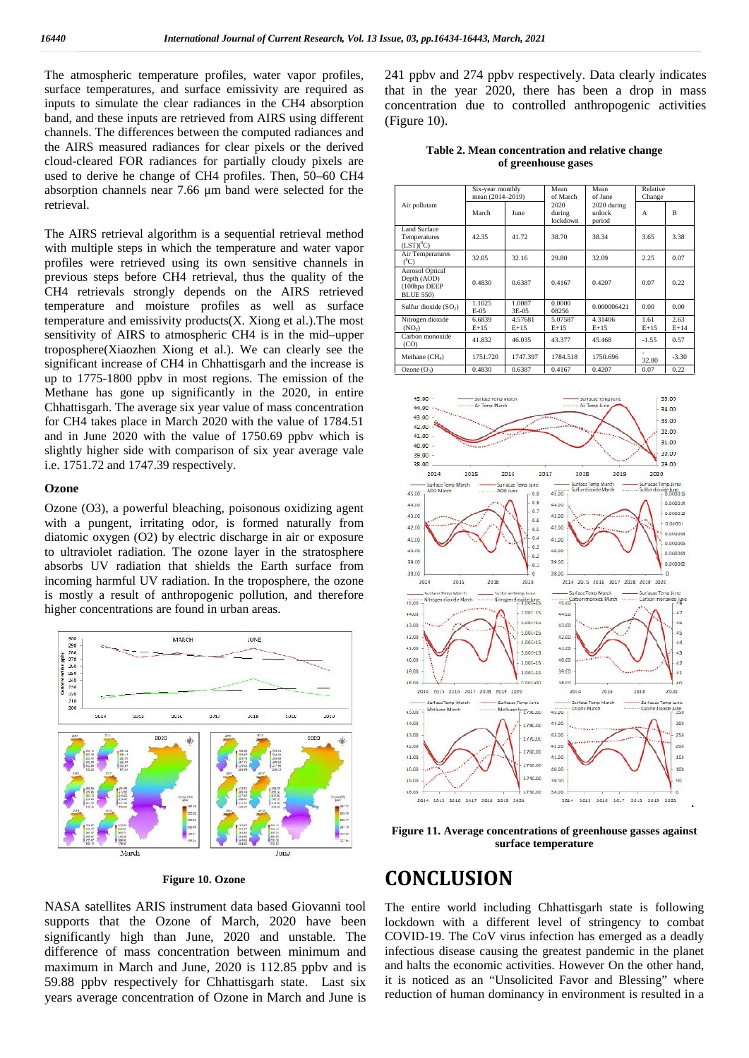The atmospheric temperature profiles, water vapor profiles, surface temperatures, and surface emissivity are required as inputs to simulate the clear radiances in the CH4 absorption band, and these inputs are retrieved from AIRS using different channels. The differences between the computed radiances and the AIRS measured radiances for clear pixels or the derived cloud-cleared FOR radiances for partially cloudy pixels are used to derive he change of CH4 profiles. Then, 50–60 CH4 absorption channels near 7.66 μm band were selected for the retrieval.

The AIRS retrieval algorithm is a sequential retrieval method with multiple steps in which the temperature and water vapor profiles were retrieved using its own sensitive channels in previous steps before CH4 retrieval, thus the quality of the CH4 retrievals strongly depends on the AIRS retrieved temperature and moisture profiles as well as surface temperature and emissivity products(X. Xiong et al.).The most sensitivity of AIRS to atmospheric CH4 is in the mid–upper troposphere(Xiaozhen Xiong et al.). We can clearly see the significant increase of CH4 in Chhattisgarh and the increase is up to 1775-1800 ppbv in most regions. The emission of the Methane has gone up significantly in the 2020, in entire Chhattisgarh. The average six year value of mass concentration for CH4 takes place in March 2020 with the value of 1784.51 and in June 2020 with the value of 1750.69 ppbv which is slightly higher side with comparison of six year average vale i.e. 1751.72 and 1747.39 respectively.

#### **Ozone**

Ozone (O3), a powerful bleaching, poisonous oxidizing agent Ozone  $(0,3)$ , a powerful bleaching, poisonous oxidizing agent  $\frac{43.80}{43.60}$  with a pungent, irritating odor, is formed naturally from diatomic oxygen (O2) by electric discharge in air or exposure to ultraviolet radiation. The ozone layer in the stratosphere absorbs UV radiation that shields the Earth surface from  $\frac{33.66}{38.66}$ incoming harmful UV radiation. In the troposphere, the ozone is mostly a result of anthropogenic pollution, and therefore higher concentrations are found in urban areas.



**Figure 10. Ozone**

NASA satellites ARIS instrument data based Giovanni tool supports that the Ozone of March, 2020 have been significantly high than June, 2020 and unstable. The difference of mass concentration between minimum and maximum in March and June, 2020 is 112.85 ppbv and is 59.88 ppbv respectively for Chhattisgarh state. Last six years average concentration of Ozone in March and June is

241 ppbv and 274 ppbv respectively. Data clearly indicates that in the year 2020, there has been a drop in mass concentration due to controlled anthropogenic activities (Figure 10).

**Table 2. Mean concentration and relative change of greenhouse gases**

| Air pollutant                                                             | Six-year monthly<br>mean (2014-2019) |                   | Mean<br>of March           | Mean<br>of June                 | Relative<br>Change |              |
|---------------------------------------------------------------------------|--------------------------------------|-------------------|----------------------------|---------------------------------|--------------------|--------------|
|                                                                           | March                                | June              | 2020<br>during<br>lockdown | 2020 during<br>unlock<br>period | A                  | B            |
| Land Surface<br>Temperatures<br>$(LST)(^0C)$                              | 42.35                                | 41.72             | 38.70                      | 38.34                           | 3.65               | 3.38         |
| Air Temperatures<br>(°C)                                                  | 32.05                                | 32.16             | 29.80                      | 32.09                           | 2.25               | 0.07         |
| <b>Aerosol Optical</b><br>Depth (AOD)<br>(100hpa DEEP<br><b>BLUE 550)</b> | 0.4830                               | 0.6387            | 0.4167                     | 0.4207                          | 0.07               | 0.22         |
| Sulfur dioxide $(SO2)$                                                    | 1.1025<br>$E-05$                     | 1.0087<br>3E-05   | 0.0000<br>08256            | 0.000006421                     | 0.00               | 0.00         |
| Nitrogen dioxide<br>(NO <sub>2</sub> )                                    | 6.6839<br>$E+15$                     | 4.57681<br>$E+15$ | 5.07587<br>$E+15$          | 4.31406<br>$E+15$               | 1.61<br>$E+15$     | 2.63<br>E+14 |
| Carbon monoxide<br>(CO)                                                   | 41.832                               | 46.035            | 43.377                     | 45.468                          | $-1.55$            | 0.57         |
| Methane $(CH_4)$                                                          | 1751.720                             | 1747.397          | 1784.518                   | 1750.696                        | 32.80              | $-3.30$      |
| Ozone $(O_3)$                                                             | 0.4830                               | 0.6387            | 0.4167                     | 0.4207                          | 0.07               | 0.22         |



**Figure 11. Average concentrations of greenhouse gasses against surface temperature**

# **CONCLUSION**

The entire world including Chhattisgarh state is following lockdown with a different level of stringency to combat COVID-19. The CoV virus infection has emerged as a deadly infectious disease causing the greatest pandemic in the planet and halts the economic activities. However On the other hand, it is noticed as an "Unsolicited Favor and Blessing" where reduction of human dominancy in environment is resulted in a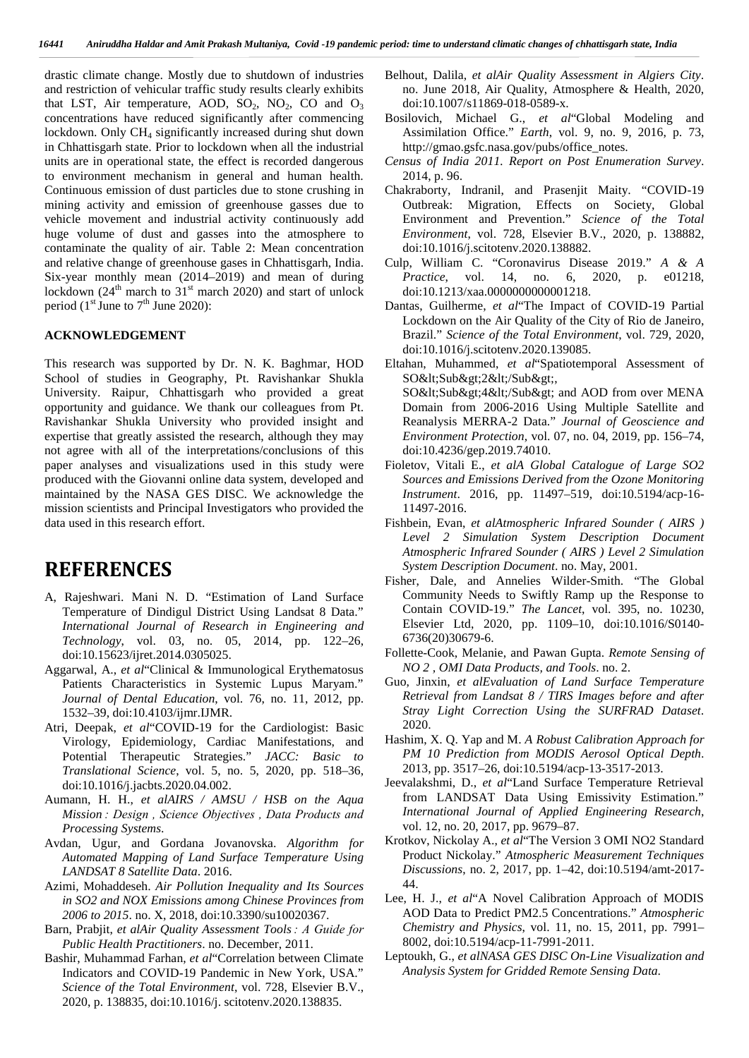drastic climate change. Mostly due to shutdown of industries and restriction of vehicular traffic study results clearly exhibits that LST, Air temperature, AOD,  $SO_2$ ,  $NO_2$ , CO and  $O_3$ concentrations have reduced significantly after commencing lockdown. Only CH<sub>4</sub> significantly increased during shut down in Chhattisgarh state. Prior to lockdown when all the industrial units are in operational state, the effect is recorded dangerous to environment mechanism in general and human health. Continuous emission of dust particles due to stone crushing in mining activity and emission of greenhouse gasses due to vehicle movement and industrial activity continuously add huge volume of dust and gasses into the atmosphere to contaminate the quality of air. Table 2: Mean concentration and relative change of greenhouse gases in Chhattisgarh, India. Six-year monthly mean (2014–2019) and mean of during lockdown ( $24<sup>th</sup>$  march to  $31<sup>st</sup>$  march 2020) and start of unlock period ( $1<sup>st</sup>$  June to  $7<sup>th</sup>$  June 2020):

#### **ACKNOWLEDGEMENT**

This research was supported by Dr. N. K. Baghmar, HOD School of studies in Geography, Pt. Ravishankar Shukla University. Raipur, Chhattisgarh who provided a great opportunity and guidance. We thank our colleagues from Pt. Ravishankar Shukla University who provided insight and expertise that greatly assisted the research, although they may not agree with all of the interpretations/conclusions of this paper analyses and visualizations used in this study were produced with the Giovanni online data system, developed and maintained by the NASA GES DISC. We acknowledge the mission scientists and Principal Investigators who provided the data used in this research effort.

## **REFERENCES**

- A, Rajeshwari. Mani N. D. "Estimation of Land Surface Temperature of Dindigul District Using Landsat 8 Data." *International Journal of Research in Engineering and Technology*, vol. 03, no. 05, 2014, pp. 122–26, doi:10.15623/ijret.2014.0305025.
- Aggarwal, A., *et al*"Clinical & Immunological Erythematosus Patients Characteristics in Systemic Lupus Maryam." *Journal of Dental Education*, vol. 76, no. 11, 2012, pp. 1532–39, doi:10.4103/ijmr.IJMR.
- Atri, Deepak, *et al*"COVID-19 for the Cardiologist: Basic Virology, Epidemiology, Cardiac Manifestations, and Potential Therapeutic Strategies." *JACC: Basic to Translational Science*, vol. 5, no. 5, 2020, pp. 518–36, doi:10.1016/j.jacbts.2020.04.002.
- Aumann, H. H., *et alAIRS / AMSU / HSB on the Aqua Mission : Design , Science Objectives , Data Products and Processing Systems*.
- Avdan, Ugur, and Gordana Jovanovska. *Algorithm for Automated Mapping of Land Surface Temperature Using LANDSAT 8 Satellite Data*. 2016.
- Azimi, Mohaddeseh. *Air Pollution Inequality and Its Sources in SO2 and NOX Emissions among Chinese Provinces from 2006 to 2015*. no. X, 2018, doi:10.3390/su10020367.
- Barn, Prabjit, *et alAir Quality Assessment Tools : A Guide for Public Health Practitioners*. no. December, 2011.
- Bashir, Muhammad Farhan, *et al*"Correlation between Climate Indicators and COVID-19 Pandemic in New York, USA." *Science of the Total Environment*, vol. 728, Elsevier B.V., 2020, p. 138835, doi:10.1016/j. scitotenv.2020.138835.
- Belhout, Dalila, *et alAir Quality Assessment in Algiers City*. no. June 2018, Air Quality, Atmosphere & Health, 2020, doi:10.1007/s11869-018-0589-x.
- Bosilovich, Michael G., *et al*"Global Modeling and Assimilation Office." *Earth*, vol. 9, no. 9, 2016, p. 73, http://gmao.gsfc.nasa.gov/pubs/office\_notes.
- *Census of India 2011. Report on Post Enumeration Survey*. 2014, p. 96.
- Chakraborty, Indranil, and Prasenjit Maity. "COVID-19 Outbreak: Migration, Effects on Society, Global Environment and Prevention." *Science of the Total Environment*, vol. 728, Elsevier B.V., 2020, p. 138882, doi:10.1016/j.scitotenv.2020.138882.
- Culp, William C. "Coronavirus Disease 2019." *A & A Practice*, vol. 14, no. 6, 2020, p. e01218, doi:10.1213/xaa.0000000000001218.
- Dantas, Guilherme, *et al*"The Impact of COVID-19 Partial Lockdown on the Air Quality of the City of Rio de Janeiro, Brazil." *Science of the Total Environment*, vol. 729, 2020, doi:10.1016/j.scitotenv.2020.139085.
- Eltahan, Muhammed, *et al*"Spatiotemporal Assessment of SO<Sub&gt;2&lt;/Sub&gt;,

SO<Sub&gt;4&lt;/Sub&gt; and AOD from over MENA Domain from 2006-2016 Using Multiple Satellite and Reanalysis MERRA-2 Data." *Journal of Geoscience and Environment Protection*, vol. 07, no. 04, 2019, pp. 156–74, doi:10.4236/gep.2019.74010.

- Fioletov, Vitali E., *et alA Global Catalogue of Large SO2 Sources and Emissions Derived from the Ozone Monitoring Instrument*. 2016, pp. 11497–519, doi:10.5194/acp-16- 11497-2016.
- Fishbein, Evan, *et alAtmospheric Infrared Sounder ( AIRS ) Level 2 Simulation System Description Document Atmospheric Infrared Sounder ( AIRS ) Level 2 Simulation System Description Document*. no. May, 2001.
- Fisher, Dale, and Annelies Wilder-Smith. "The Global Community Needs to Swiftly Ramp up the Response to Contain COVID-19." *The Lancet*, vol. 395, no. 10230, Elsevier Ltd, 2020, pp. 1109–10, doi:10.1016/S0140- 6736(20)30679-6.
- Follette-Cook, Melanie, and Pawan Gupta. *Remote Sensing of NO 2 , OMI Data Products, and Tools*. no. 2.
- Guo, Jinxin, *et alEvaluation of Land Surface Temperature Retrieval from Landsat 8 / TIRS Images before and after Stray Light Correction Using the SURFRAD Dataset*. 2020.
- Hashim, X. Q. Yap and M. *A Robust Calibration Approach for PM 10 Prediction from MODIS Aerosol Optical Depth*. 2013, pp. 3517–26, doi:10.5194/acp-13-3517-2013.
- Jeevalakshmi, D., *et al*"Land Surface Temperature Retrieval from LANDSAT Data Using Emissivity Estimation." *International Journal of Applied Engineering Research*, vol. 12, no. 20, 2017, pp. 9679–87.
- Krotkov, Nickolay A., *et al*"The Version 3 OMI NO2 Standard Product Nickolay." *Atmospheric Measurement Techniques Discussions*, no. 2, 2017, pp. 1–42, doi:10.5194/amt-2017- 44.
- Lee, H. J., *et al*"A Novel Calibration Approach of MODIS AOD Data to Predict PM2.5 Concentrations." *Atmospheric Chemistry and Physics*, vol. 11, no. 15, 2011, pp. 7991– 8002, doi:10.5194/acp-11-7991-2011.
- Leptoukh, G., *et alNASA GES DISC On-Line Visualization and Analysis System for Gridded Remote Sensing Data*.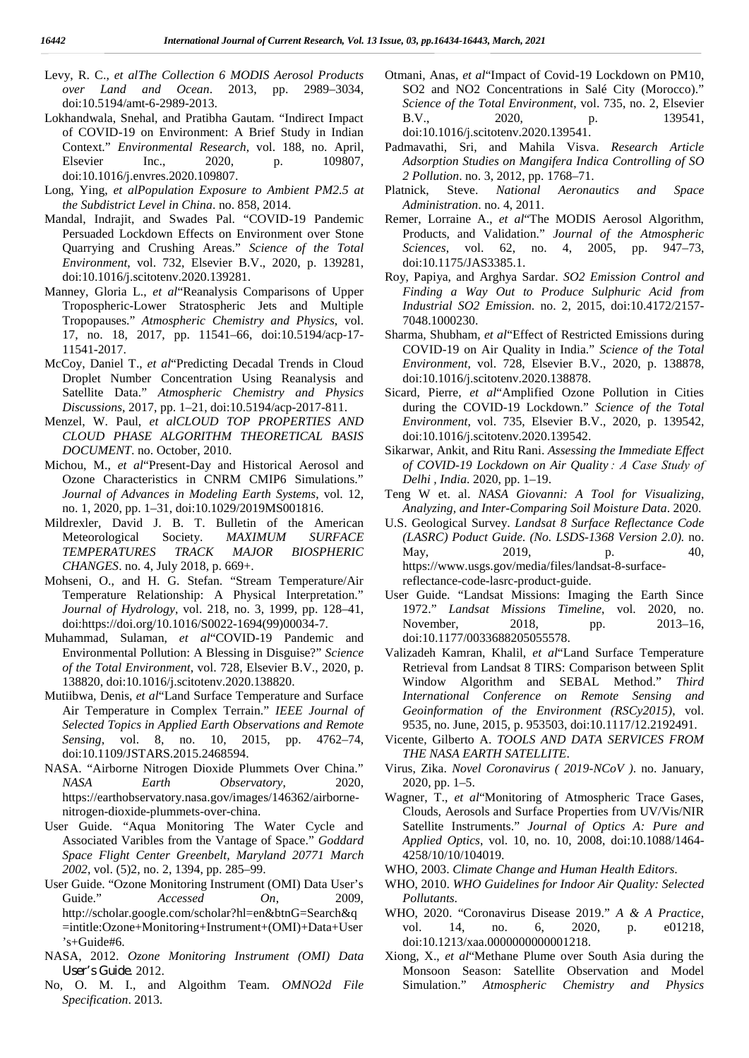- Levy, R. C., *et alThe Collection 6 MODIS Aerosol Products over Land and Ocean*. 2013, pp. 2989–3034, doi:10.5194/amt-6-2989-2013.
- Lokhandwala, Snehal, and Pratibha Gautam. "Indirect Impact of COVID-19 on Environment: A Brief Study in Indian Context." *Environmental Research*, vol. 188, no. April, Elsevier Inc., 2020, p. 109807, doi:10.1016/j.envres.2020.109807.
- Long, Ying, *et alPopulation Exposure to Ambient PM2.5 at the Subdistrict Level in China*. no. 858, 2014.
- Mandal, Indrajit, and Swades Pal. "COVID-19 Pandemic Persuaded Lockdown Effects on Environment over Stone Quarrying and Crushing Areas." *Science of the Total Environment*, vol. 732, Elsevier B.V., 2020, p. 139281, doi:10.1016/j.scitotenv.2020.139281.
- Manney, Gloria L., *et al*"Reanalysis Comparisons of Upper Tropospheric-Lower Stratospheric Jets and Multiple Tropopauses." *Atmospheric Chemistry and Physics*, vol. 17, no. 18, 2017, pp. 11541–66, doi:10.5194/acp-17- 11541-2017.
- McCoy, Daniel T., *et al*"Predicting Decadal Trends in Cloud Droplet Number Concentration Using Reanalysis and Satellite Data." *Atmospheric Chemistry and Physics Discussions*, 2017, pp. 1–21, doi:10.5194/acp-2017-811.
- Menzel, W. Paul, *et alCLOUD TOP PROPERTIES AND CLOUD PHASE ALGORITHM THEORETICAL BASIS DOCUMENT*. no. October, 2010.
- Michou, M., *et al*"Present-Day and Historical Aerosol and Ozone Characteristics in CNRM CMIP6 Simulations." *Journal of Advances in Modeling Earth Systems*, vol. 12, no. 1, 2020, pp. 1–31, doi:10.1029/2019MS001816.
- Mildrexler, David J. B. T. Bulletin of the American Meteorological Society. *MAXIMUM SURFACE TEMPERATURES TRACK MAJOR BIOSPHERIC CHANGES*. no. 4, July 2018, p. 669+.
- Mohseni, O., and H. G. Stefan. "Stream Temperature/Air Temperature Relationship: A Physical Interpretation." *Journal of Hydrology*, vol. 218, no. 3, 1999, pp. 128–41, doi:https://doi.org/10.1016/S0022-1694(99)00034-7.
- Muhammad, Sulaman, *et al*"COVID-19 Pandemic and Environmental Pollution: A Blessing in Disguise?" *Science of the Total Environment*, vol. 728, Elsevier B.V., 2020, p. 138820, doi:10.1016/j.scitotenv.2020.138820.
- Mutiibwa, Denis, *et al*"Land Surface Temperature and Surface Air Temperature in Complex Terrain." *IEEE Journal of Selected Topics in Applied Earth Observations and Remote Sensing*, vol. 8, no. 10, 2015, pp. 4762–74, doi:10.1109/JSTARS.2015.2468594.
- NASA. "Airborne Nitrogen Dioxide Plummets Over China." *NASA Earth Observatory*, 2020, https://earthobservatory.nasa.gov/images/146362/airborne nitrogen-dioxide-plummets-over-china.
- User Guide. "Aqua Monitoring The Water Cycle and Associated Varibles from the Vantage of Space." *Goddard Space Flight Center Greenbelt, Maryland 20771 March 2002*, vol. (5)2, no. 2, 1394, pp. 285–99.
- User Guide. "Ozone Monitoring Instrument (OMI) Data User's Guide." *Accessed On.* 2009. http://scholar.google.com/scholar?hl=en&btnG=Search&q =intitle:Ozone+Monitoring+Instrument+(OMI)+Data+User 's+Guide#6.
- NASA, 2012. *Ozone Monitoring Instrument (OMI) Data User's Guide*. 2012.
- No, O. M. I., and Algoithm Team. *OMNO2d File Specification*. 2013.
- Otmani, Anas, *et al*"Impact of Covid-19 Lockdown on PM10, SO2 and NO2 Concentrations in Salé City (Morocco)." *Science of the Total Environment*, vol. 735, no. 2, Elsevier B.V., 2020, p. 139541, doi:10.1016/j.scitotenv.2020.139541.
- Padmavathi, Sri, and Mahila Visva. *Research Article Adsorption Studies on Mangifera Indica Controlling of SO 2 Pollution*. no. 3, 2012, pp. 1768–71.
- **Steve.** *National Aeronautics and Space Administration*. no. 4, 2011.
- Remer, Lorraine A., *et al*"The MODIS Aerosol Algorithm, Products, and Validation." *Journal of the Atmospheric Sciences*, vol. 62, no. 4, 2005, pp. 947–73, doi:10.1175/JAS3385.1.
- Roy, Papiya, and Arghya Sardar. *SO2 Emission Control and Finding a Way Out to Produce Sulphuric Acid from Industrial SO2 Emission*. no. 2, 2015, doi:10.4172/2157- 7048.1000230.
- Sharma, Shubham, *et al*"Effect of Restricted Emissions during COVID-19 on Air Quality in India." *Science of the Total Environment*, vol. 728, Elsevier B.V., 2020, p. 138878, doi:10.1016/j.scitotenv.2020.138878.
- Sicard, Pierre, *et al*"Amplified Ozone Pollution in Cities during the COVID-19 Lockdown." *Science of the Total Environment*, vol. 735, Elsevier B.V., 2020, p. 139542, doi:10.1016/j.scitotenv.2020.139542.
- Sikarwar, Ankit, and Ritu Rani. *Assessing the Immediate Effect of COVID-19 Lockdown on Air Quality : A Case Study of Delhi , India*. 2020, pp. 1–19.
- Teng W et. al. *NASA Giovanni: A Tool for Visualizing, Analyzing, and Inter-Comparing Soil Moisture Data*. 2020.
- U.S. Geological Survey. *Landsat 8 Surface Reflectance Code (LASRC) Poduct Guide. (No. LSDS-1368 Version 2.0).* no. May, 2019, p. 40, https://www.usgs.gov/media/files/landsat-8-surfacereflectance-code-lasrc-product-guide.
- User Guide. "Landsat Missions: Imaging the Earth Since 1972." *Landsat Missions Timeline*, vol. 2020, no. November, 2018, pp. 2013–16, doi:10.1177/0033688205055578.
- Valizadeh Kamran, Khalil, *et al*"Land Surface Temperature Retrieval from Landsat 8 TIRS: Comparison between Split Window Algorithm and SEBAL Method." *Third International Conference on Remote Sensing and Geoinformation of the Environment (RSCy2015)*, vol. 9535, no. June, 2015, p. 953503, doi:10.1117/12.2192491.
- Vicente, Gilberto A. *TOOLS AND DATA SERVICES FROM THE NASA EARTH SATELLITE*.
- Virus, Zika. *Novel Coronavirus ( 2019-NCoV )*. no. January, 2020, pp. 1–5.
- Wagner, T., *et al*"Monitoring of Atmospheric Trace Gases, Clouds, Aerosols and Surface Properties from UV/Vis/NIR Satellite Instruments." *Journal of Optics A: Pure and Applied Optics*, vol. 10, no. 10, 2008, doi:10.1088/1464- 4258/10/10/104019.
- WHO, 2003. *Climate Change and Human Health Editors*.
- WHO, 2010. *WHO Guidelines for Indoor Air Quality: Selected Pollutants*.
- WHO, 2020. "Coronavirus Disease 2019." *A & A Practice*, vol. 14, no. 6, 2020, p. e01218, doi:10.1213/xaa.0000000000001218.
- Xiong, X., *et al*"Methane Plume over South Asia during the Monsoon Season: Satellite Observation and Model Simulation." *Atmospheric Chemistry and Physics*